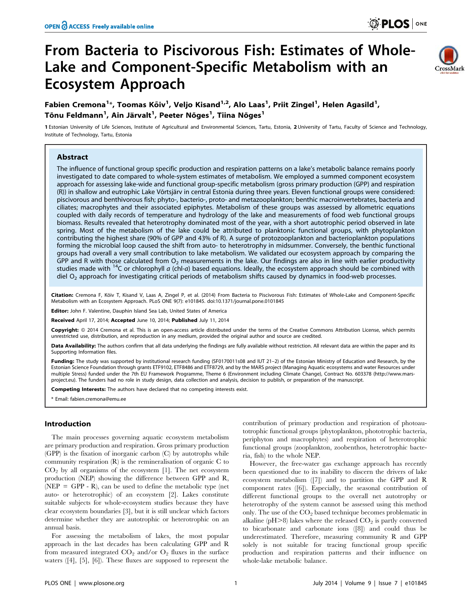# From Bacteria to Piscivorous Fish: Estimates of Whole-Lake and Component-Specific Metabolism with an Ecosystem Approach



# Fabien Cremona<sup>1</sup>\*, Toomas Kõiv<sup>1</sup>, Veljo Kisand<sup>1,2</sup>, Alo Laas<sup>1</sup>, Priit Zingel<sup>1</sup>, Helen Agasild<sup>1</sup>, Tõnu Feldmann<sup>1</sup>, Ain Järvalt<sup>1</sup>, Peeter Nõges<sup>1</sup>, Tiina Nõges<sup>1</sup>

1 Estonian University of Life Sciences, Institute of Agricultural and Environmental Sciences, Tartu, Estonia, 2 University of Tartu, Faculty of Science and Technology, Institute of Technology, Tartu, Estonia

# Abstract

The influence of functional group specific production and respiration patterns on a lake's metabolic balance remains poorly investigated to date compared to whole-system estimates of metabolism. We employed a summed component ecosystem approach for assessing lake-wide and functional group-specific metabolism (gross primary production (GPP) and respiration (R)) in shallow and eutrophic Lake Võrtsjärv in central Estonia during three years. Eleven functional groups were considered: piscivorous and benthivorous fish; phyto-, bacterio-, proto- and metazooplankton; benthic macroinvertebrates, bacteria and ciliates; macrophytes and their associated epiphytes. Metabolism of these groups was assessed by allometric equations coupled with daily records of temperature and hydrology of the lake and measurements of food web functional groups biomass. Results revealed that heterotrophy dominated most of the year, with a short autotrophic period observed in late spring. Most of the metabolism of the lake could be attributed to planktonic functional groups, with phytoplankton contributing the highest share (90% of GPP and 43% of R). A surge of protozooplankton and bacterioplankton populations forming the microbial loop caused the shift from auto- to heterotrophy in midsummer. Conversely, the benthic functional groups had overall a very small contribution to lake metabolism. We validated our ecosystem approach by comparing the GPP and R with those calculated from  $O_2$  measurements in the lake. Our findings are also in line with earlier productivity studies made with <sup>14</sup>C or chlorophyll a (chl-a) based equations. Ideally, the ecosystem approach should be combined with diel  $O<sub>2</sub>$  approach for investigating critical periods of metabolism shifts caused by dynamics in food-web processes.

Citation: Cremona F, Köiv T, Kisand V, Laas A, Zingel P, et al. (2014) From Bacteria to Piscivorous Fish: Estimates of Whole-Lake and Component-Specific Metabolism with an Ecosystem Approach. PLoS ONE 9(7): e101845. doi:10.1371/journal.pone.0101845

Editor: John F. Valentine, Dauphin Island Sea Lab, United States of America

Received April 17, 2014; Accepted June 10, 2014; Published July 11, 2014

**Copyright:** © 2014 Cremona et al. This is an open-access article distributed under the terms of the [Creative Commons Attribution License,](http://creativecommons.org/licenses/by/4.0/) which permits unrestricted use, distribution, and reproduction in any medium, provided the original author and source are credited.

Data Availability: The authors confirm that all data underlying the findings are fully available without restriction. All relevant data are within the paper and its Supporting Information files.

Funding: The study was supported by institutional research funding (SF0170011s08 and IUT 21-2) of the Estonian Ministry of Education and Research, by the Estonian Science Foundation through grants ETF9102, ETF8486 and ETF8729, and by the MARS project (Managing Aquatic ecosystems and water Resources under multiple Stress) funded under the 7th EU Framework Programme, Theme 6 (Environment including Climate Change), Contract No. 603378 ([http://www.mars](http://www.mars-project.eu)[project.eu](http://www.mars-project.eu)). The funders had no role in study design, data collection and analysis, decision to publish, or preparation of the manuscript.

Competing Interests: The authors have declared that no competing interests exist.

\* Email: fabien.cremona@emu.ee

# Introduction

The main processes governing aquatic ecosystem metabolism are primary production and respiration. Gross primary production (GPP) is the fixation of inorganic carbon (C) by autotrophs while community respiration (R) is the remineralisation of organic C to  $CO<sub>2</sub>$  by all organisms of the ecosystem [1]. The net ecosystem production (NEP) showing the difference between GPP and R, ( $NEP = GPP - R$ ), can be used to define the metabolic type (net auto- or heterotrophic) of an ecosystem [2]. Lakes constitute suitable subjects for whole-ecosystem studies because they have clear ecosystem boundaries [3], but it is still unclear which factors determine whether they are autotrophic or heterotrophic on an annual basis.

For assessing the metabolism of lakes, the most popular approach in the last decades has been calculating GPP and R from measured integrated  $CO_2$  and/or  $O_2$  fluxes in the surface waters ([4], [5], [6]). These fluxes are supposed to represent the

contribution of primary production and respiration of photoautotrophic functional groups (phytoplankton, phototrophic bacteria, periphyton and macrophytes) and respiration of heterotrophic functional groups (zooplankton, zoobenthos, heterotrophic bacteria, fish) to the whole NEP.

However, the free-water gas exchange approach has recently been questioned due to its inability to discern the drivers of lake ecosystem metabolism ([7]) and to partition the GPP and R component rates ([6]). Especially, the seasonal contribution of different functional groups to the overall net autotrophy or heterotrophy of the system cannot be assessed using this method only. The use of the CO<sub>2</sub> based technique becomes problematic in alkaline (pH $>8$ ) lakes where the released  $CO<sub>2</sub>$  is partly converted to bicarbonate and carbonate ions ([8]) and could thus be underestimated. Therefore, measuring community R and GPP solely is not suitable for tracing functional group specific production and respiration patterns and their influence on whole-lake metabolic balance.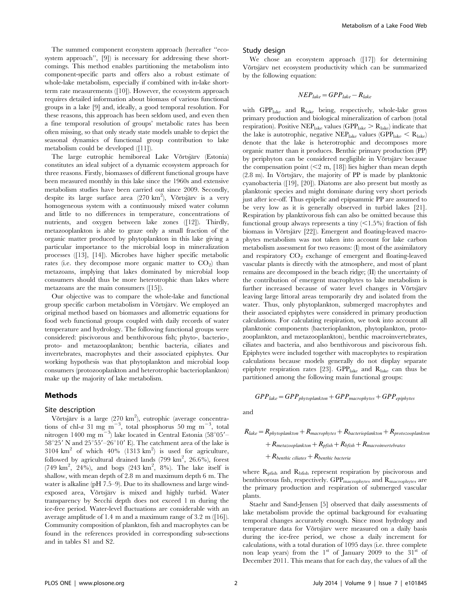The summed component ecosystem approach (hereafter ''ecosystem approach'', [9]) is necessary for addressing these shortcomings. This method enables partitioning the metabolism into component-specific parts and offers also a robust estimate of whole-lake metabolism, especially if combined with in-lake shortterm rate measurements ([10]). However, the ecosystem approach requires detailed information about biomass of various functional groups in a lake [9] and, ideally, a good temporal resolution. For these reasons, this approach has been seldom used, and even then a fine temporal resolution of groups' metabolic rates has been often missing, so that only steady state models unable to depict the seasonal dynamics of functional group contribution to lake metabolism could be developed ([11]).

The large eutrophic hemiboreal Lake Võrtsjärv (Estonia) constitutes an ideal subject of a dynamic ecosystem approach for three reasons. Firstly, biomasses of different functional groups have been measured monthly in this lake since the 1960s and extensive metabolism studies have been carried out since 2009. Secondly, despite its large surface area  $(270 \text{ km}^2)$ , Võrtsjärv is a very homogeneous system with a continuously mixed water column and little to no differences in temperature, concentrations of nutrients, and oxygen between lake zones ([12]). Thirdly, metazooplankton is able to graze only a small fraction of the organic matter produced by phytoplankton in this lake giving a particular importance to the microbial loop in mineralization processes ([13], [14]). Microbes have higher specific metabolic rates (i.e. they decompose more organic matter to  $CO<sub>2</sub>$ ) than metazoans, implying that lakes dominated by microbial loop consumers should thus be more heterotrophic than lakes where metazoans are the main consumers ([15]).

Our objective was to compare the whole-lake and functional group specific carbon metabolism in Võrtsjärv. We employed an original method based on biomasses and allometric equations for food web functional groups coupled with daily records of water temperature and hydrology. The following functional groups were considered: piscivorous and benthivorous fish; phyto-, bacterio-, proto- and metazooplankton; benthic bacteria, ciliates and invertebrates, macrophytes and their associated epiphytes. Our working hypothesis was that phytoplankton and microbial loop consumers (protozooplankton and heterotrophic bacterioplankton) make up the majority of lake metabolism.

#### Methods

#### Site description

Võrtsjärv is a large (270 km<sup>2</sup>), eutrophic (average concentrations of chl-a 31 mg m<sup>-3</sup>, total phosphorus 50 mg m<sup>-3</sup>, total nitrogen 1400 mg m<sup>-3</sup>) lake located in Central Estonia (58°05'- $58^{\circ}25'$  N and  $25^{\circ}55'$  -26 $^{\circ}10'$  E). The catchment area of the lake is 3104  $\text{km}^2$  of which 40% (1313  $\text{km}^2$ ) is used for agriculture, followed by agricultural drained lands (799 km<sup>2</sup>, 26.6%), forest (749 km<sup>2</sup>, 24%), and bogs (243 km<sup>2</sup>, 8%). The lake itself is shallow, with mean depth of 2.8 m and maximum depth 6 m. The water is alkaline (pH 7.5–9). Due to its shallowness and large windexposed area, Võrtsjärv is mixed and highly turbid. Water transparency by Secchi depth does not exceed 1 m during the ice-free period. Water-level fluctuations are considerable with an average amplitude of 1.4 m and a maximum range of 3.2 m ([16]). Community composition of plankton, fish and macrophytes can be found in the references provided in corresponding sub-sections and in tables S1 and S2.

#### Study design

We chose an ecosystem approach ([17]) for determining Võrtsjärv net ecosystem productivity which can be summarized by the following equation:

$$
NEP_{\text{\}} = GPP_{\text{\}} - R_{\text{\}}
$$

with GPPlake and Rlake being, respectively, whole-lake gross primary production and biological mineralization of carbon (total respiration). Positive NEP<sub>lake</sub> values (GPP<sub>lake</sub>  $>$  R<sub>lake</sub>) indicate that the lake is autotrophic, negative  $NEP_{\text{late}}$  values ( $GPP_{\text{late}} < R_{\text{late}}$ ) denote that the lake is heterotrophic and decomposes more organic matter than it produces. Benthic primary production (PP) by periphyton can be considered negligible in Võrtsjärv because the compensation point  $(< 2 \text{ m}, [18])$  lies higher than mean depth  $(2.8 \text{ m})$ . In Võrtsjärv, the majority of PP is made by planktonic cyanobacteria ([19], [20]). Diatoms are also present but mostly as planktonic species and might dominate during very short periods just after ice-off. Thus epipelic and epipsammic PP are assumed to be very low as it is generally observed in turbid lakes [21]. Respiration by planktivorous fish can also be omitted because this functional group always represents a tiny  $\langle \leq 1.5\% \rangle$  fraction of fish biomass in Võrtsjärv [22]). Emergent and floating-leaved macrophytes metabolism was not taken into account for lake carbon metabolism assessment for two reasons: (I) most of the assimilatory and respiratory  $CO<sub>2</sub>$  exchange of emergent and floating-leaved vascular plants is directly with the atmosphere, and most of plant remains are decomposed in the beach ridge; (II) the uncertainty of the contribution of emergent macrophytes to lake metabolism is further increased because of water level changes in Võrtsjärv leaving large littoral areas temporarily dry and isolated from the water. Thus, only phytoplankton, submerged macrophytes and their associated epiphytes were considered in primary production calculations. For calculating respiration, we took into account all planktonic components (bacterioplankton, phytoplankton, protozooplankton, and metazooplankton), benthic macroinvertebrates, ciliates and bacteria, and also benthivorous and piscivorous fish. Epiphytes were included together with macrophytes to respiration calculations because models generally do not display separate epiphyte respiration rates [23]. GPP<sub>lake</sub> and  $R_{\text{late}}$  can thus be partitioned among the following main functional groups:

 $GPP_{\text{\}}=GPP_{\text{phytoplankton}}+GPP_{\text{macrohytes}}+GPP_{\text{epiphytes}}$ 

and

$$
R_{\text{\}} = R_{\text{\}}\left( \frac{1}{2} + R_{\text{\}} \frac{1}{2} + \frac{1}{2} R_{\text{\}} \frac{1}{2} + \frac{1}{2} R_{\text{\}} \frac{1}{2} + \frac{1}{2} R_{\text{\}} \frac{1}{2} + \frac{1}{2} R_{\text{\}} \frac{1}{2} + \frac{1}{2} R_{\text{\}} \frac{1}{2} + \frac{1}{2} R_{\text{\}} \frac{1}{2} + \frac{1}{2} R_{\text{\}} \frac{1}{2} + \frac{1}{2} R_{\text{\}} \frac{1}{2} + \frac{1}{2} R_{\text{\}} \frac{1}{2} + \frac{1}{2} R_{\text{\}} \frac{1}{2} + \frac{1}{2} R_{\text{\}} \frac{1}{2} + \frac{1}{2} R_{\text{\}} \frac{1}{2} + \frac{1}{2} R_{\text{\}} \frac{1}{2} + \frac{1}{2} R_{\text{\}} \frac{1}{2} + \frac{1}{2} R_{\text{\}} \frac{1}{2} + \frac{1}{2} R_{\text{\}} \frac{1}{2} + \frac{1}{2} R_{\text{\}} \frac{1}{2} + \frac{1}{2} R_{\text{\}} \frac{1}{2} + \frac{1}{2} R_{\text{\}} \frac{1}{2} + \frac{1}{2} R_{\text{\}} \frac{1}{2} + \frac{1}{2} R_{\text{\}} \frac{1}{2} + \frac{1}{2} R_{\text{\}} \frac{1}{2} + \frac{1}{2} R_{\text{\}} \frac{1}{2} + \frac{1}{2} R_{\text{\}} \frac{1}{2} + \frac{1}{2} R_{\text{\}} \frac{1}{2} + \frac{1}{2} R_{\text{\}} \frac{1}{2} + \frac{1}{2} R_{\text{\}} \frac{1}{2} + \frac{1}{2} R_{\text{\}} \frac{1}{2} + \frac{1}{2} R_{\text{\}} \frac{1}{2} + \frac{1}{2} R_{\text{\}} \frac{1}{2} + \frac{1}{2} R_{\text{\}} \frac{1}{2} + \frac{1}{2} R_{\text{\}} \frac{1}{2} + \frac{1}{2} R_{\text{\}}
$$

where  $R_{\text{prish}}$  and  $R_{\text{brish}}$  represent respiration by piscivorous and benthivorous fish, respectively.  $\text{GPP}_{\text{macrophysics}}$  and  $\text{R}_{\text{macrophysics}}$  are the primary production and respiration of submerged vascular plants.

Staehr and Sand-Jensen [5] observed that daily assessments of lake metabolism provide the optimal background for evaluating temporal changes accurately enough. Since most hydrology and temperature data for Võrtsjärv were measured on a daily basis during the ice-free period, we chose a daily increment for calculations, with a total duration of 1095 days (i.e. three complete non leap years) from the  $1<sup>st</sup>$  of January 2009 to the  $31<sup>st</sup>$  of December 2011. This means that for each day, the values of all the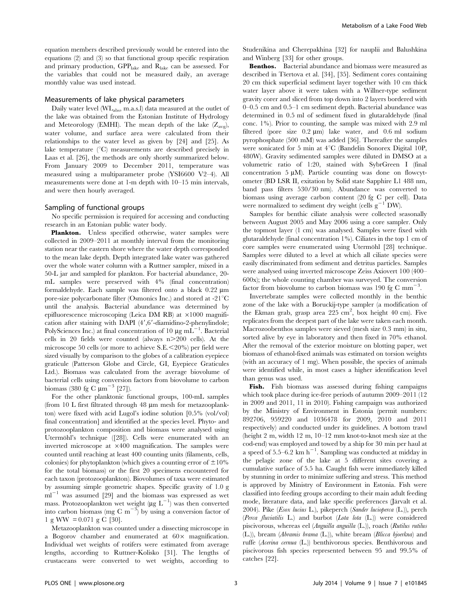equation members described previously would be entered into the equations (2) and (3) so that functional group specific respiration and primary production,  $GPP_{\text{late}}$  and  $R_{\text{late}}$  can be assessed. For the variables that could not be measured daily, an average monthly value was used instead.

# Measurements of lake physical parameters

Daily water level (WLabs, m.a.s.l) data measured at the outlet of the lake was obtained from the Estonian Institute of Hydrology and Meteorology (EMHI). The mean depth of the lake  $(Z_{\text{avg}})$ , water volume, and surface area were calculated from their relationships to the water level as given by [24] and [25]. As lake temperature  $(^{\circ}C)$  measurements are described precisely in Laas et al. [26], the methods are only shortly summarized below. From January 2009 to December 2011, temperature was measured using a multiparameter probe (YSI6600 V2–4). All measurements were done at 1-m depth with 10–15 min intervals, and were then hourly averaged.

#### Sampling of functional groups

No specific permission is required for accessing and conducting research in an Estonian public water body.

Plankton. Unless specified otherwise, water samples were collected in 2009–2011 at monthly interval from the monitoring station near the eastern shore where the water depth corresponded to the mean lake depth. Depth integrated lake water was gathered over the whole water column with a Ruttner sampler, mixed in a 50-L jar and sampled for plankton. For bacterial abundance, 20 mL samples were preserved with 4% (final concentration) formaldehyde. Each sample was filtered onto a black 0.22 mm pore-size polycarbonate filter (Osmonics Inc.) and stored at -21 $\mathrm{^{\circ}C}$ until the analysis. Bacterial abundance was determined by epifluorescence microscoping (Leica DM RB) at  $\times1000$  magnification after staining with DAPI  $(4', 6'$ -diamidino-2-phenylindole; PolySciences Inc.) at final concentration of 10  $\mu$ g mL<sup>-1</sup>. Bacterial cells in 20 fields were counted (always  $n > 200$  cells). At the microscope 50 cells (or more to achieve  $S.E. \le 20\%$ ) per field were sized visually by comparison to the globes of a calibration eyepiece graticule (Patterson Globe and Circle, GI, Eyepiece Graticules Ltd.). Biomass was calculated from the average biovolume of bacterial cells using conversion factors from biovolume to carbon biomass (380 fg C  $\mu$ m<sup>-3</sup> [27]).

For the other planktonic functional groups, 100-mL samples (from 10 L first filtrated through  $48 \mu m$  mesh for metazooplankton) were fixed with acid Lugol's iodine solution [0.5% (vol/vol) final concentration] and identified at the species level. Phyto- and protozooplankton composition and biomass were analysed using Utermöhl's technique ([28]). Cells were enumerated with an inverted microscope at  $\times 400$  magnification. The samples were counted until reaching at least 400 counting units (filaments, cells, colonies) for phytoplankton (which gives a counting error of  $\pm 10\%$ for the total biomass) or the first 20 specimens encountered for each taxon (protozooplankton). Biovolumes of taxa were estimated by assuming simple geometric shapes. Specific gravity of 1.0 g  $ml^{-1}$  was assumed [29] and the biomass was expressed as wet mass. Protozooplankton wet weight ( $\mu$ g L<sup>-1</sup>) was then converted into carbon biomass (mg C m<sup>-3</sup>) by using a conversion factor of 1 g WW =  $0.071$  g C [30].

Metazooplankton was counted under a dissecting microscope in a Bogorov chamber and enumerated at  $60 \times$  magnification. Individual wet weights of rotifers were estimated from average lengths, according to Ruttner-Kolisko [31]. The lengths of crustaceans were converted to wet weights, according to Studenikina and Cherepakhina [32] for nauplii and Balushkina and Winberg [33] for other groups.

Benthos. Bacterial abundance and biomass were measured as described in Tšertova et al. [34], [35]. Sediment cores containing 20 cm thick superficial sediment layer together with 10 cm thick water layer above it were taken with a Willner-type sediment gravity corer and sliced from top down into 2 layers bordered with 0–0.5 cm and 0.5–1 cm sediment depth. Bacterial abundance was determined in 0.5 ml of sediment fixed in glutaraldehyde (final conc. 1%). Prior to counting, the sample was mixed with 2.9 ml filtered (pore size  $0.2 \text{ }\mu\text{m}$ ) lake water, and  $0.6 \text{ }\text{m}$  sodium pyrophosphate (500 mM) was added [36]. Thereafter the samples were sonicated for 5 min at  $4^{\circ}$ C (Bandelin Sonorex Digital 10P, 480W). Gravity sedimented samples were diluted in DMSO at a volumetric ratio of 1:20, stained with SybrGreen I (final concentration  $5 \mu M$ ). Particle counting was done on flowcytometer (BD LSR II, exitation by Solid state Sapphire L1 488 nm, band pass filters 530/30 nm). Abundance was converted to biomass using average carbon content (20 fg C per cell). Data were normalized to sediment dry weight (cells  $g^{-1}$  DW).

Samples for benthic ciliate analysis were collected seasonally between August 2005 and May 2006 using a core sampler. Only the topmost layer (1 cm) was analysed. Samples were fixed with glutaraldehyde (final concentration 1%). Ciliates in the top 1 cm of core samples were enumerated using Utermöhl [28] technique. Samples were diluted to a level at which all ciliate species were easily discriminated from sediment and detritus particles. Samples were analysed using inverted microscope Zeiss Axiovert 100 (400– 600x); the whole counting chamber was surveyed. The conversion factor from biovolume to carbon biomass was 190 fg C  $mm^{-3}$ .

Invertebrate samples were collected monthly in the benthic zone of the lake with a Boruckij-type sampler (a modification of the Ekman grab, grasp area  $225 \text{ cm}^2$ , box height 40 cm). Five replicates from the deepest part of the lake were taken each month. Macrozoobenthos samples were sieved (mesh size 0.3 mm) in situ, sorted alive by eye in laboratory and then fixed in 70% ethanol. After the removal of the exterior moisture on blotting paper, wet biomass of ethanol-fixed animals was estimated on torsion weights (with an accuracy of 1 mg). When possible, the species of animals were identified while, in most cases a higher identification level than genus was used.

Fish. Fish biomass was assessed during fishing campaigns which took place during ice-free periods of autumn 2009–2011 (12 in 2009 and 2011, 11 in 2010). Fishing campaign was authorized by the Ministry of Environment in Estonia (permit numbers: 892706, 959220 and 1036478 for 2009, 2010 and 2011 respectively) and conducted under its guidelines. A bottom trawl (height 2 m, width 12 m, 10–12 mm knot-to-knot mesh size at the cod-end) was employed and towed by a ship for 30 min per haul at a speed of 5.5–6.2  $km h^{-1}$ . Sampling was conducted at midday in the pelagic zone of the lake at 5 different sites covering a cumulative surface of 5.5 ha. Caught fish were immediately killed by stunning in order to minimize suffering and stress. This method is approved by Ministry of Environment in Estonia. Fish were classified into feeding groups according to their main adult feeding mode, literature data, and lake specific preferences (Järvalt et al. 2004). Pike (Esox lucius L.), pikeperch (Sander lucioperca (L.)), perch (Perca fluviatilis L.) and burbot (Lota lota (L.)) were considered piscivorous, whereas eel (Anguilla anguilla (L.)), roach (Rutilus rutilus (L.)), bream (Abramis brama (L.)), white bream (Blicca bjoerkna) and ruffe (Acerina cernua (L.)) benthivorous species. Benthivorous and piscivorous fish species represented between 95 and 99.5% of catches [22].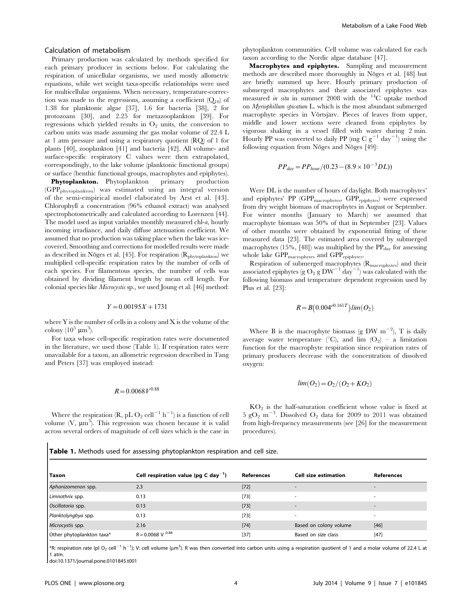#### Calculation of metabolism

Primary production was calculated by methods specified for each primary producer in sections below. For calculating the respiration of unicellular organisms, we used mostly allometric equations, while wet weight taxa-specific relationships were used for multicellular organisms. When necessary, temperature-correction was made to the regressions, assuming a coefficient  $(Q_{10})$  of 1.38 for planktonic algae [37], 1.6 for bacteria [38], 2 for protozoans [30], and 2.25 for metazooplankton [39]. For regressions which yielded results in  $O<sub>2</sub>$  units, the conversion to carbon units was made assuming the gas molar volume of 22.4 L at 1 atm pressure and using a respiratory quotient (RQ) of 1 for plants [40], zooplankton [41] and bacteria [42]. All volume- and surface-specific respiratory C values were then extrapolated, correspondingly, to the lake volume (planktonic functional groups) or surface (benthic functional groups, macrophytes and epiphytes).

Phytoplankton. Phytoplankton primary production (GPPphytoplankton) was estimated using an integral version of the semi-empirical model elaborated by Arst et al. [43]. Chlorophyll a concentration (96% ethanol extract) was analysed spectrophotometrically and calculated according to Lorenzen [44]. The model used as input variables monthly measured chl-a, hourly incoming irradiance, and daily diffuse attenuation coefficient. We assumed that no production was taking place when the lake was icecovered. Smoothing and corrections for modelled results were made as described in Nõges et al. [45]. For respiration (R<sub>phytoplankton</sub>) we multiplied cell-specific respiration rates by the number of cells of each species. For filamentous species, the number of cells was obtained by dividing filament length by mean cell length. For colonial species like Microcystis sp., we used Joung et al. [46] method:

#### $Y=0.00195X+1731$

where Y is the number of cells in a colony and X is the volume of the colony  $(10^5 \ \mu m^3)$ .

For taxa whose cell-specific respiration rates were documented in the literature, we used those (Table 1). If respiration rates were unavailable for a taxon, an allometric regression described in Tang and Peters [37] was employed instead:

# $R=0.0068V^{0.88}$

Where the respiration (R, pL O<sub>2</sub> cell<sup>-1</sup> h<sup>-1</sup>) is a function of cell volume  $(V, \mu m^3)$ . This regression was chosen because it is valid across several orders of magnitude of cell sizes which is the case in phytoplankton communities. Cell volume was calculated for each taxon according to the Nordic algae database [47].

Macrophytes and epiphytes. Sampling and measurement methods are described more thoroughly in Nõges et al. [48] but are briefly summed up here. Hourly primary production of submerged macrophytes and their associated epiphytes was measured *in situ* in summer 2008 with the  $^{14}$ C uptake method on Myriophillum spicatum L. which is the most abundant submerged macrophyte species in Võrtsjärv. Pieces of leaves from upper, middle and lower sections were cleaned from epiphytes by vigorous shaking in a vessel filled with water during 2 min. Hourly PP was converted to daily PP (mg C  $g^{-1}$  day<sup>-1</sup>) using the following equation from Nõges and Nõges [49]:

$$
PP_{day} = PP_{hour} / (0.23 - (8.9 \times 10^{-3} DL))
$$

Were DL is the number of hours of daylight. Both macrophytes' and epiphytes' PP (GPP<sub>macrophytes</sub>, GPP<sub>epiphytes</sub>) were expressed from dry weight biomass of macrophytes in August or September. For winter months (January to March) we assumed that macrophyte biomass was 50% of that in September [23]. Values of other months were obtained by exponential fitting of these measured data [23]. The estimated area covered by submerged macrophytes  $(15\%, 48)$  was multiplied by the  $PP<sub>day</sub>$  for assessing whole lake  $GPP_{\text{macrobytes}}$  and  $GPP_{\text{epipbytes}}$ .

Respiration of submerged macrophytes (Rmacrophytes) and their associated epiphytes (g  $O_2$  g  $DW^{-1}$  day<sup>-1</sup>) was calculated with the following biomass and temperature dependent regression used by Plus et al. [23]:

$$
R = B(0.004^{e0.161T})\lim(O_2)
$$

Where B is the macrophyte biomass (g DW  $m^{-2}$ ), T is daily average water temperature (°C), and lim  $(O_2)$  – a limitation function for the macrophyte respiration since respiration rates of primary producers decrease with the concentration of dissolved oxygen:

$$
lim(O_2)=O_2/(O_2+KO_2)
$$

 $KO<sub>2</sub>$  is the half-saturation coefficient whose value is fixed at  $5 \text{ gO}_2 \text{ m}^{-3}$ . Dissolved O<sub>2</sub> data for 2009 to 2011 was obtained from high-frequency measurements (see [26] for the measurement procedures).

|  |  |  |  | Table 1. Methods used for assessing phytoplankton respiration and cell size. |  |  |
|--|--|--|--|------------------------------------------------------------------------------|--|--|
|--|--|--|--|------------------------------------------------------------------------------|--|--|

| Taxon                     | Cell respiration value (pg C day <sup>-1</sup> ) | <b>References</b> | Cell size estimation     | <b>References</b>        |
|---------------------------|--------------------------------------------------|-------------------|--------------------------|--------------------------|
| Aphanizomenon spp.        | 2.3                                              | $[72]$            |                          | $\overline{\phantom{a}}$ |
| Limnothrix spp.           | 0.13                                             | $[73]$            | $\overline{\phantom{a}}$ | $\overline{\phantom{a}}$ |
| Oscillatoria spp.         | 0.13                                             | $[73]$            | $\overline{\phantom{a}}$ | $\overline{\phantom{a}}$ |
| Planktolyngbya spp.       | 0.13                                             | $[73]$            | $\overline{\phantom{a}}$ | $\sim$                   |
| Microcystis spp.          | 2.16                                             | $[74]$            | Based on colony volume   | $[46]$                   |
| Other phytoplankton taxa* | $R = 0.0068$ V $^{0.88}$                         | $[37]$            | Based on size class      | $[47]$                   |

\*R: respiration rate (pl O<sub>2</sub> cell<sup>-1</sup> h<sup>-1</sup>); V: cell volume (µm<sup>3</sup>). R was then converted into carbon units using a respiration quotient of 1 and a molar volume of 22.4 L at 1 atm.

doi:10.1371/journal.pone.0101845.t001

 $\overline{\phantom{a}}$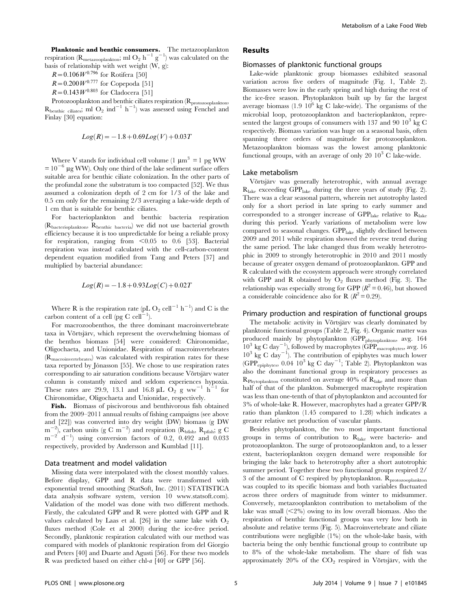**Planktonic and benthic consumers.** The metazooplankton respiration ( $R_{\text{metazooplankton}}$ ; ml  $O_2$  h<sup>-1</sup> g<sup>-1</sup>) was calculated on the basis of relationship with wet weight (W, g):

 $R=0.106 W^{0.796}$  for Rotifera [50]

- $R=0.200 W^{0.777}$  for Copepoda [51]
- $R=0.143 W^{0.803}$  for Cladocera [51]

Protozooplankton and benthic ciliates respiration (R<sub>protozooplankton</sub>,  $R_{\text{benthic ciliates}}$ ; ml  $O_2$  ind<sup>-1</sup> h<sup>-1</sup>) was assessed using Fenchel and Finlay [30] equation:

$$
Log(R) \! = \! -1.8 \! + \! 0.69 Log(V) \! + \! 0.03\, T
$$

Where V stands for individual cell volume (1  $\mu$ m<sup>3</sup> = 1 pg WW  $= 10^{-6}$  µg WW). Only one third of the lake sediment surface offers suitable area for benthic ciliate colonization. In the other parts of the profundal zone the substratum is too compacted [52]. We thus assumed a colonization depth of 2 cm for 1/3 of the lake and 0.5 cm only for the remaining 2/3 averaging a lake-wide depth of 1 cm that is suitable for benthic ciliates.

For bacterioplankton and benthic bacteria respiration (Rbacterioplankton, Rbenthic bacteria) we did not use bacterial growth efficiency because it is too unpredictable for being a reliable proxy for respiration, ranging from  $< 0.05$  to 0.6 [53]. Bacterial respiration was instead calculated with the cell-carbon-content dependent equation modified from Tang and Peters [37] and multiplied by bacterial abundance:

$$
Log(R) = -1.8 + 0.93Log(C) + 0.02T
$$

Where R is the respiration rate (pL O<sub>2</sub> cell<sup>-1</sup> h<sup>-1</sup>) and C is the carbon content of a cell (pg C cell $-1$ ).

For macrozoobenthos, the three dominant macroinvertebrate taxa in Võrtsjärv, which represent the overwhelming biomass of the benthos biomass [54] were considered: Chironomidae, Oligochaeta, and Unionidae. Respiration of macroinvertebrates (Rmacroinvertebrates) was calculated with respiration rates for these taxa reported by Jónasson [55]. We chose to use respiration rates corresponding to air saturation conditions because Võrtsjärv water column is constantly mixed and seldom experiences hypoxia. These rates are 29.9, 13.1 and 16.8  $\mu$ L O<sub>2</sub> g ww<sup>-1</sup> h<sup>-1</sup> for Chironomidae, Oligochaeta and Unionidae, respectively.

Fish. Biomass of piscivorous and benthivorous fish obtained from the 2009–2011 annual results of fishing campaigns (see above and [22]) was converted into dry weight (DW) biomass (g DW  $m$ <sup> $-$ </sup> ), carbon units (g C m<sup>-2</sup>) and respiration ( $R_{\text{bfsh}}$ ,  $R_{\text{pfish}}$ ; g C  $m^{-2}$  d<sup>-1</sup>) using conversion factors of 0.2, 0.492 and 0.033 respectively, provided by Andersson and Kumblad [11].

#### Data treatment and model validation

Missing data were interpolated with the closest monthly values. Before display, GPP and R data were transformed with exponential trend smoothing (StatSoft, Inc. (2011) STATISTICA data analysis software system, version 10 [www.statsoft.com\)](www.statsoft.com). Validation of the model was done with two different methods. Firstly, the calculated GPP and R were plotted with GPP and R values calculated by Laas et al. [26] in the same lake with  $O_2$ fluxes method (Cole et al 2000) during the ice-free period. Secondly, planktonic respiration calculated with our method was compared with models of planktonic respiration from del Giorgio and Peters [40] and Duarte and Agusti [56]. For these two models R was predicted based on either chl-a [40] or GPP [56].

# Results

#### Biomasses of planktonic functional groups

Lake-wide planktonic group biomasses exhibited seasonal variation across five orders of magnitude (Fig. 1, Table 2). Biomasses were low in the early spring and high during the rest of the ice-free season. Phytoplankton built up by far the largest average biomass  $(1.9 \ 10^6 \text{ kg C}$  lake-wide). The organisms of the microbial loop, protozooplankton and bacterioplankton, represented the largest groups of consumers with 137 and 90  $10^3$  kg C respectively. Biomass variation was huge on a seasonal basis, often spanning three orders of magnitude for protozooplankton. Metazooplankton biomass was the lowest among planktonic functional groups, with an average of only 20  $10^3$  C lake-wide.

#### Lake metabolism

Võrtsjärv was generally heterotrophic, with annual average  $R<sub>late</sub> exceeding GPP<sub>late</sub> during the three years of study (Fig. 2).$ There was a clear seasonal pattern, wherein net autotrophy lasted only for a short period in late spring to early summer and corresponded to a stronger increase of  $GPP<sub>late</sub>$  relative to  $R<sub>late</sub>$ during this period. Yearly variations of metabolism were low compared to seasonal changes. GPPlake slightly declined between 2009 and 2011 while respiration showed the reverse trend during the same period. The lake changed thus from weakly heterotrophic in 2009 to strongly heterotrophic in 2010 and 2011 mostly because of greater oxygen demand of protozooplankton. GPP and R calculated with the ecosystem approach were strongly correlated with GPP and R obtained by  $O_2$  fluxes method (Fig. 3). The relationship was especially strong for GPP  $(R^2 = 0.46)$ , but showed a considerable coincidence also for R  $(R^2=0.29)$ .

# Primary production and respiration of functional groups

The metabolic activity in Võrtsjärv was clearly dominated by planktonic functional groups (Table 2, Fig. 4). Organic matter was produced mainly by phytoplankton (GPP<sub>phytoplankton</sub>, avg. 164  $10^3$  kg C day<sup>-1</sup>), followed by macrophytes (GPP<sub>macrophytes</sub>, avg. 16  $10^3$  kg C day<sup> $-1$ </sup>). The contribution of epiphytes was much lower (GPP<sub>epiphytes</sub>, 0.04  $10^3$  kg C day<sup>-1</sup>; Table 2). Phytoplankton was also the dominant functional group in respiratory processes as RPhytoplankton constituted on average 40% of Rlake and more than half of that of the plankton. Submerged macrophyte respiration was less than one-tenth of that of phytoplankton and accounted for 3% of whole-lake R. However, macrophytes had a greater GPP/R ratio than plankton (1.45 compared to 1.28) which indicates a greater relative net production of vascular plants.

Besides phytoplankton, the two most important functional groups in terms of contribution to  $R<sub>late</sub>$  were bacterio- and protozooplankton. The surge of protozooplankton and, to a lesser extent, bacterioplankton oxygen demand were responsible for bringing the lake back to heterotrophy after a short autotrophic summer period. Together these two functional groups respired 2/ 3 of the amount of  $C$  respired by phytoplankton.  $R_{\text{protozooplankton}}$ was coupled to its specific biomass and both variables fluctuated across three orders of magnitude from winter to midsummer. Conversely, metazooplankton contribution to metabolism of the lake was small  $\left( \langle 2\% \rangle \right)$  owing to its low overall biomass. Also the respiration of benthic functional groups was very low both in absolute and relative terms (Fig. 5). Macroinvertebrate and ciliate contributions were negligible (1%) on the whole-lake basis, with bacteria being the only benthic functional group to contribute up to 8% of the whole-lake metabolism. The share of fish was approximately  $20\%$  of the  $CO<sub>2</sub>$  respired in Võrtsjärv, with the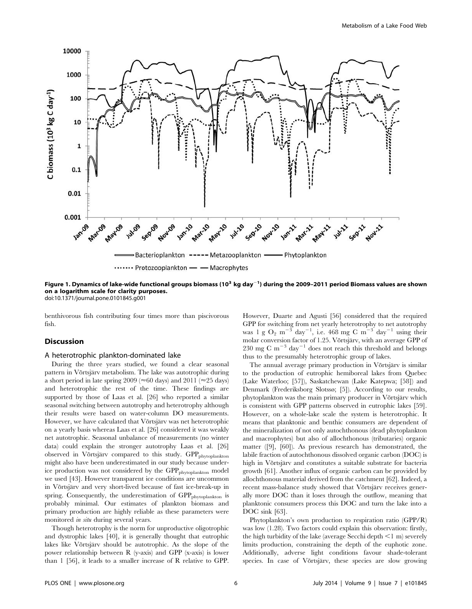

Figure 1. Dynamics of lake-wide functional groups biomass (10 $^3$  kg day $^{-1}$ ) during the 2009–2011 period Biomass values are shown on a logarithm scale for clarity purposes.

doi:10.1371/journal.pone.0101845.g001

benthivorous fish contributing four times more than piscivorous fish.

# **Discussion**

#### A heterotrophic plankton-dominated lake

During the three years studied, we found a clear seasonal pattern in Võrtsjärv metabolism. The lake was autotrophic during a short period in late spring 2009 ( $\approx$  60 days) and 2011 ( $\approx$  25 days) and heterotrophic the rest of the time. These findings are supported by those of Laas et al. [26] who reported a similar seasonal switching between autotrophy and heterotrophy although their results were based on water-column DO measurements. However, we have calculated that Võrtsjärv was net heterotrophic on a yearly basis whereas Laas et al. [26] considered it was weakly net autotrophic. Seasonal unbalance of measurements (no winter data) could explain the stronger autotrophy Laas et al. [26] observed in Võrtsjärv compared to this study. GPP<sub>phytoplankton</sub> might also have been underestimated in our study because underice production was not considered by the GPP<sub>phytoplankton</sub> model we used [43]. However transparent ice conditions are uncommon in Võrtsjärv and very short-lived because of fast ice-break-up in spring. Consequently, the underestimation of GPP<sub>phytoplankton</sub> is probably minimal. Our estimates of plankton biomass and primary production are highly reliable as these parameters were monitored in situ during several years.

Though heterotrophy is the norm for unproductive oligotrophic and dystrophic lakes [40], it is generally thought that eutrophic lakes like Võrtsjärv should be autotrophic. As the slope of the power relationship between R (y-axis) and GPP (x-axis) is lower than 1 [56], it leads to a smaller increase of R relative to GPP.

However, Duarte and Agusti [56] considered that the required GPP for switching from net yearly heterotrophy to net autotrophy was 1 g  $O_2$  m<sup>-3</sup> day<sup>-1</sup>, i.e. 468 mg C m<sup>-3</sup> day<sup>-1</sup> using their molar conversion factor of 1.25. Võrtsjärv, with an average GPP of 230 mg C m<sup>-3</sup> day<sup>-1</sup> does not reach this threshold and belongs thus to the presumably heterotrophic group of lakes.

The annual average primary production in Võrtsjärv is similar to the production of eutrophic hemiboreal lakes from Quebec (Lake Waterloo; [57]), Saskatchewan (Lake Katepwa; [58]) and Denmark (Frederiksborg Slotssø; [5]). According to our results, phytoplankton was the main primary producer in Võrtsjärv which is consistent with GPP patterns observed in eutrophic lakes [59]. However, on a whole-lake scale the system is heterotrophic. It means that planktonic and benthic consumers are dependent of the mineralization of not only autochthonous (dead phytoplankton and macrophytes) but also of allochthonous (tributaries) organic matter ([9], [60]). As previous research has demonstrated, the labile fraction of autochthonous dissolved organic carbon (DOC) is high in Võrtsjärv and constitutes a suitable substrate for bacteria growth [61]. Another influx of organic carbon can be provided by allochthonous material derived from the catchment [62]. Indeed, a recent mass-balance study showed that Võrtsjärv receives generally more DOC than it loses through the outflow, meaning that planktonic consumers process this DOC and turn the lake into a DOC sink [63].

Phytoplankton's own production to respiration ratio (GPP/R) was low (1.28). Two factors could explain this observation: firstly, the high turbidity of the lake (average Secchi depth  $\leq 1$  m) severely limits production, constraining the depth of the euphotic zone. Additionally, adverse light conditions favour shade-tolerant species. In case of Võrtsjärv, these species are slow growing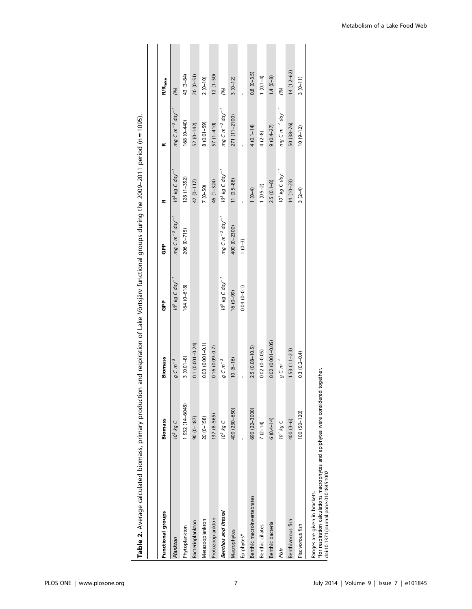| Functional groups                                                                                                            | <b>Biomass</b>  | <b>Biomass</b>       | င်္င                          | ဇွဲ                                                                | ∝                             | ≃                                                                  | R/R <sub>lake</sub> |
|------------------------------------------------------------------------------------------------------------------------------|-----------------|----------------------|-------------------------------|--------------------------------------------------------------------|-------------------------------|--------------------------------------------------------------------|---------------------|
| Plankton                                                                                                                     | $10^3$ kg C     | $g \subset m^{-3}$   | $10^3$ kg C day <sup>-1</sup> | mg C m $^{-3}$ day $^{-1}$                                         | $10^3$ kg C $day^{-1}$        | mg C m $^{-3}$ day $^{-1}$                                         | (96)                |
| Phytoplankton                                                                                                                | 1932 (14-6048)  | $3(0.01-8)$          | $164(0 - 618)$                | 206 (0-715)                                                        | $128(1 - 352)$                | 168 (0-440)                                                        | 43 (3-84)           |
| Bacterioplankton                                                                                                             | $90(0-187)$     | $0.1 (0.001 - 0.24)$ |                               |                                                                    | 42 (0-117)                    | $52(0-142)$                                                        | $20(0-51)$          |
| Metazooplankton                                                                                                              | $20(0-158)$     | $0.03(0.001 - 0.1)$  |                               |                                                                    | $7(0-50)$                     | $8(0.01 - 59)$                                                     | $2(0-10)$           |
| Protozooplankton                                                                                                             | $137(8 - 565)$  | $0.16(0.09 - 0.7)$   |                               |                                                                    | 46 (1-324)                    | 57 (1-410)                                                         | $12(1-50)$          |
| Benthos and littoral                                                                                                         | $10^3$ kg C     | $g C m^{-2}$         | $10^3$ kg C day <sup>-1</sup> | $mg$ C m <sup><math>-2</math></sup> day <sup><math>-1</math></sup> | $10^3$ kg C day <sup>-1</sup> | $mg$ C m <sup>-2</sup> day <sup>-1</sup>                           | (96)                |
| Macrophytes                                                                                                                  | 400 (230-650)   | $10(6-16)$           | $(6 - 0)$ 16                  | 400 (0-2300)                                                       | $11(0.5 - 88)$                | 271 (11-2100)                                                      | $3(0-12)$           |
| Epiphytes*                                                                                                                   |                 |                      | $0.04(0 - 0.1)$               | $1(0-3)$                                                           |                               |                                                                    |                     |
| Benthic macroinvertebrates                                                                                                   | 690 (22-3000)   | $2.5(0.08 - 10.5)$   |                               |                                                                    | $1(0-4)$                      | $4(0.1 - 14)$                                                      | $0.8(0 - 3.5)$      |
| Benthic ciliates                                                                                                             | $7(2-14)$       | $0.02(0 - 0.05)$     |                               |                                                                    | $1(0.5-2)$                    | $4(2-8)$                                                           | $1(0.1-4)$          |
| Benthic bacteria                                                                                                             | $6(0.4 - 14)$   | $0.02(0.001 - 0.05)$ |                               |                                                                    | $2.5(0.1-8)$                  | $9(0.4 - 27)$                                                      | $1.4(0-8)$          |
| Fish                                                                                                                         | $10^3$ kg C     | $g$ C $m^{-2}$       |                               |                                                                    | $10^3$ kg C day <sup>-1</sup> | $mg$ C m <sup><math>-2</math></sup> day <sup><math>-1</math></sup> | (96)                |
| Benthivorous fish                                                                                                            | 400 (3-6)       | $1.53(1.1-2.3)$      |                               |                                                                    | $14(10-23)$                   | $50(38-76)$                                                        | $14(1.2 - 62)$      |
| Piscivorous fish                                                                                                             | $100(50 - 120)$ | $0.3(0.2 - 0.4)$     |                               |                                                                    | $3(2-4)$                      | $10(9-12)$                                                         | $3(0-11)$           |
| ということには、「アンドウエンジング」ということになっている。 アクセント こうしょう アクセント こうしょう こうしょう こうしょうしょうしょうしょうしょうしょうしょうしょうしょう<br>Ranges are given in brackets. |                 |                      |                               |                                                                    |                               |                                                                    |                     |

Table 2. Average calculated biomass, primary production and respiration of Lake Võrtsjärv functional groups during the 2009-2011 period (n = 1095). Table 2. Average calculated biomass, primary production and respiration of Lake Vörtsjärv functional groups during the 2009–2011 period (n = 1095).

\*for respiration calculations macrophytes and epiphytes were considered together.<br>doi:10.1371/journal.pone.0101845.t002 \*for respiration calculations macrophytes and epiphytes were considered together. doi:10.1371/journal.pone.0101845.t002

Metabolism of a Lake Food Web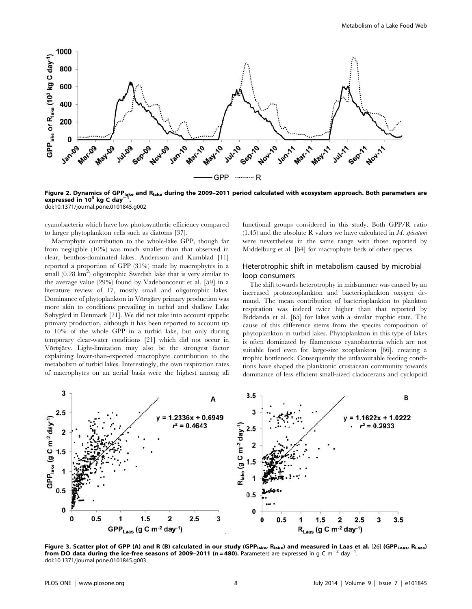

Figure 2. Dynamics of GPP<sub>lake</sub> and R<sub>lake</sub> during the 2009-2011 period calculated with ecosystem approach. Both parameters are expressed in  $10^3$  kg C day<sup>-</sup> . doi:10.1371/journal.pone.0101845.g002

cyanobacteria which have low photosynthetic efficiency compared to larger phytoplankton cells such as diatoms [37].

Macrophyte contribution to the whole-lake GPP, though far from negligible (10%) was much smaller than that observed in clear, benthos-dominated lakes. Andersson and Kumblad [11] reported a proportion of GPP (31%) made by macrophytes in a small  $(0.28 \text{ km}^2)$  oligotrophic Swedish lake that is very similar to the average value (29%) found by Vadeboncoeur et al. [59] in a literature review of 17, mostly small and oligotrophic lakes. Dominance of phytoplankton in Võrtsjärv primary production was more akin to conditions prevailing in turbid and shallow Lake Søbygård in Denmark [21]. We did not take into account epipelic primary production, although it has been reported to account up to 10% of the whole GPP in a turbid lake, but only during temporary clear-water conditions [21] which did not occur in Võrtsjärv. Light-limitation may also be the strongest factor explaining lower-than-expected macrophyte contribution to the metabolism of turbid lakes. Interestingly, the own respiration rates of macrophytes on an aerial basis were the highest among all

functional groups considered in this study. Both GPP/R ratio  $(1.45)$  and the absolute R values we have calculated in M. spicatum were nevertheless in the same range with those reported by Middelburg et al. [64] for macrophyte beds of other species.

# Heterotrophic shift in metabolism caused by microbial loop consumers

The shift towards heterotrophy in midsummer was caused by an increased protozooplankton and bacterioplankton oxygen demand. The mean contribution of bacterioplankton to plankton respiration was indeed twice higher than that reported by Biddanda et al. [65] for lakes with a similar trophic state. The cause of this difference stems from the species composition of phytoplankton in turbid lakes. Phytoplankton in this type of lakes is often dominated by filamentous cyanobacteria which are not suitable food even for large-size zooplankton [66], creating a trophic bottleneck. Consequently the unfavourable feeding conditions have shaped the planktonic crustacean community towards dominance of less efficient small-sized cladocerans and cyclopoid



Figure 3. Scatter plot of GPP (A) and R (B) calculated in our study (GPP<sub>lake</sub>, R<sub>lake</sub>) and measured in Laas et al. [26] (GPP<sub>Laas</sub>, R<sub>Laas</sub>) from DO data during the ice-free seasons of 2009–2011 (n = 480). Parameters are expressed in g C m<sup>-2</sup> day<sup>-1</sup>. doi:10.1371/journal.pone.0101845.g003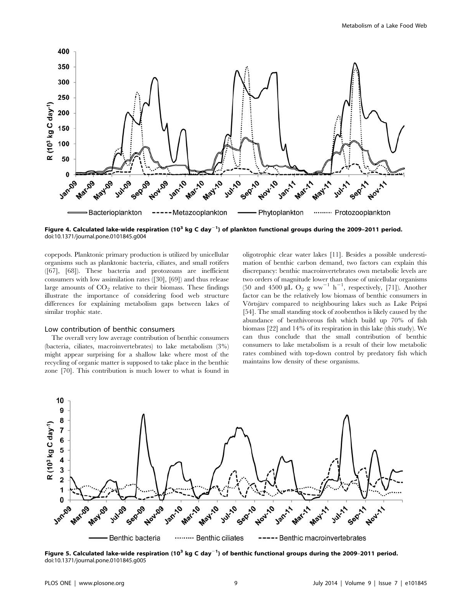

Figure 4. Calculated lake-wide respiration (10 $^3$  kg C day $^{-1}$ ) of plankton functional groups during the 2009–2011 period. doi:10.1371/journal.pone.0101845.g004

copepods. Planktonic primary production is utilized by unicellular organisms such as planktonic bacteria, ciliates, and small rotifers ([67], [68]). These bacteria and protozoans are inefficient consumers with low assimilation rates ([30], [69]) and thus release large amounts of  $CO<sub>2</sub>$  relative to their biomass. These findings illustrate the importance of considering food web structure differences for explaining metabolism gaps between lakes of similar trophic state.

# Low contribution of benthic consumers

The overall very low average contribution of benthic consumers (bacteria, ciliates, macroinvertebrates) to lake metabolism (3%) might appear surprising for a shallow lake where most of the recycling of organic matter is supposed to take place in the benthic zone [70]. This contribution is much lower to what is found in

oligotrophic clear water lakes [11]. Besides a possible underestimation of benthic carbon demand, two factors can explain this discrepancy: benthic macroinvertebrates own metabolic levels are two orders of magnitude lower than those of unicellular organisms (50 and 4500  $\mu \tilde{L} O_2$  g ww<sup>-1</sup> h<sup>-1</sup>, respectively, [71]). Another factor can be the relatively low biomass of benthic consumers in Võrtsjärv compared to neighbouring lakes such as Lake Peipsi [54]. The small standing stock of zoobenthos is likely caused by the abundance of benthivorous fish which build up 70% of fish biomass [22] and 14% of its respiration in this lake (this study). We can thus conclude that the small contribution of benthic consumers to lake metabolism is a result of their low metabolic rates combined with top-down control by predatory fish which maintains low density of these organisms.



Figure 5. Calculated lake-wide respiration (10 $^3$  kg C day $^{-1}$ ) of benthic functional groups during the 2009–2011 period. doi:10.1371/journal.pone.0101845.g005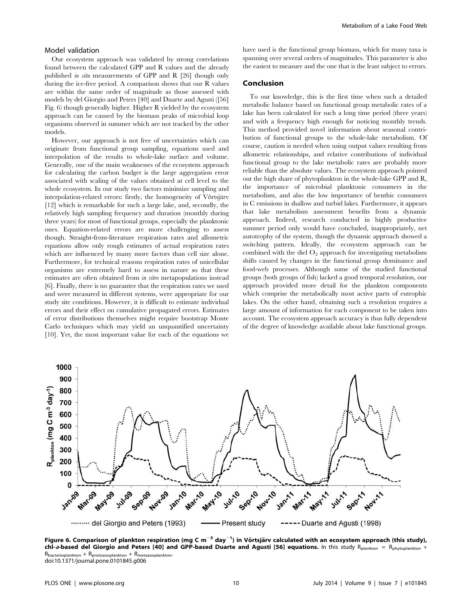#### Model validation

Our ecosystem approach was validated by strong correlations found between the calculated GPP and R values and the already published in situ measurements of GPP and R [26] though only during the ice-free period. A comparison shows that our R values are within the same order of magnitude as those assessed with models by del Giorgio and Peters [40] and Duarte and Agusti ([56] Fig. 6) though generally higher. Higher R yielded by the ecosystem approach can be caused by the biomass peaks of microbial loop organisms observed in summer which are not tracked by the other models.

However, our approach is not free of uncertainties which can originate from functional group sampling, equations used and interpolation of the results to whole-lake surface and volume. Generally, one of the main weaknesses of the ecosystem approach for calculating the carbon budget is the large aggregation error associated with scaling of the values obtained at cell level to the whole ecosystem. In our study two factors minimize sampling and interpolation-related errors: firstly, the homogeneity of Võrtsjärv [12] which is remarkable for such a large lake, and, secondly, the relatively high sampling frequency and duration (monthly during three years) for most of functional groups, especially the planktonic ones. Equation-related errors are more challenging to assess though. Straight-from-literature respiration rates and allometric equations allow only rough estimates of actual respiration rates which are influenced by many more factors than cell size alone. Furthermore, for technical reasons respiration rates of unicellular organisms are extremely hard to assess in nature so that these estimates are often obtained from in vitro metapopulations instead [6]. Finally, there is no guarantee that the respiration rates we used and were measured in different systems, were appropriate for our study site conditions. However, it is difficult to estimate individual errors and their effect on cumulative propagated errors. Estimates of error distributions themselves might require bootstrap Monte Carlo techniques which may yield an unquantified uncertainty [10]. Yet, the most important value for each of the equations we

have used is the functional group biomass, which for many taxa is spanning over several orders of magnitudes. This parameter is also the easiest to measure and the one that is the least subject to errors.

# Conclusion

To our knowledge, this is the first time when such a detailed metabolic balance based on functional group metabolic rates of a lake has been calculated for such a long time period (three years) and with a frequency high enough for noticing monthly trends. This method provided novel information about seasonal contribution of functional groups to the whole-lake metabolism. Of course, caution is needed when using output values resulting from allometric relationships, and relative contributions of individual functional group to the lake metabolic rates are probably more reliable than the absolute values. The ecosystem approach pointed out the high share of phytoplankton in the whole-lake GPP and R, the importance of microbial planktonic consumers in the metabolism, and also the low importance of benthic consumers in C emissions in shallow and turbid lakes. Furthermore, it appears that lake metabolism assessment benefits from a dynamic approach. Indeed, research conducted in highly productive summer period only would have concluded, inappropriately, net autotrophy of the system, though the dynamic approach showed a switching pattern. Ideally, the ecosystem approach can be combined with the diel  $O_2$  approach for investigating metabolism shifts caused by changes in the functional group dominance and food-web processes. Although some of the studied functional groups (both groups of fish) lacked a good temporal resolution, our approach provided more detail for the plankton components which comprise the metabolically most active parts of eutrophic lakes. On the other hand, obtaining such a resolution requires a large amount of information for each component to be taken into account. The ecosystem approach accuracy is thus fully dependent of the degree of knowledge available about lake functional groups.



Figure 6. Comparison of plankton respiration (mg C m $^{-3}$  day $^{-1}$ ) in Võrtsjärv calculated with an ecosystem approach (this study), chl-a-based del Giorgio and Peters [40] and GPP-based Duarte and Agusti [56] equations. In this study Rplankton = Rphytoplankton +  $R_{\text{bacteri}} + R_{\text{protocol}} + R_{\text{metaz}}$ doi:10.1371/journal.pone.0101845.g006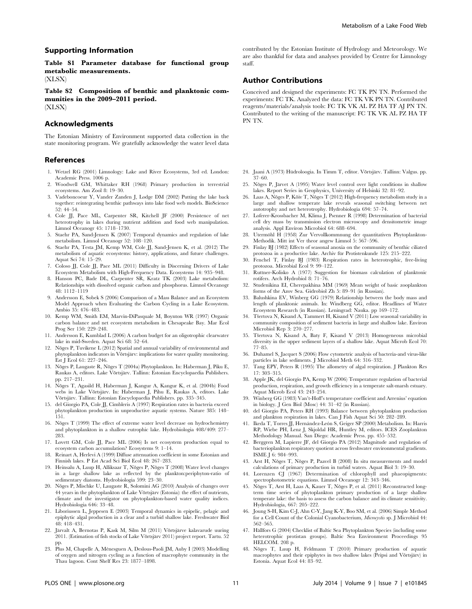Table S1 Parameter database for functional group metabolic measurements.

(XLSX)

Table S2 Composition of benthic and planktonic communities in the 2009–2011 period. (XLSX)

# Acknowledgments

The Estonian Ministry of Environment supported data collection in the state monitoring program. We gratefully acknowledge the water level data

#### References

- 1. Wetzel RG (2001) Limnology: Lake and River Ecosystems, 3rd ed. London: Academic Press. 1006 p.
- 2. Woodwell GM, Whittaker RH (1968) Primary production in terrestrial ecosystems. Am Zool 8: 19–30.
- 3. Vadeboncoeur Y, Vander Zanden J, Lodge DM (2002) Putting the lake back together: reintegrating benthic pathways into lake food web models. BioScience 52: 44–54.
- 4. Cole JJ, Pace ML, Carpenter SR, Kitchell JF (2000) Persistence of net heterotrophy in lakes during nutrient addition and food web manipulation. Limnol Oceanogr 45: 1718–1730.
- 5. Staehr PA, Sand-Jensen K (2007) Temporal dynamics and regulation of lake metabolism. Limnol Oceanogr 52: 108–120.
- 6. Staehr PA, Testa JM, Kemp WM, Cole JJ, Sand-Jensen K, et al. (2012) The metabolism of aquatic ecosystems: history, applications, and future challenges. Aquat Sci 74: 15–29.
- 7. Coloso JJ, Cole JJ, Pace ML (2011) Difficulty in Discerning Drivers of Lake Ecosystem Metabolism with High-Frequency Data. Ecosystems 14: 935–948.
- 8. Hanson PC, Bade DL, Carpenter SR, Kratz TK (2003) Lake metabolism: Relationships with dissolved organic carbon and phosphorus. Limnol Oceanogr 48: 1112–1119
- 9. Andersson E, Sobek S (2006) Comparison of a Mass Balance and an Ecosystem Model Approach when Evaluating the Carbon Cycling in a Lake Ecosystem. Ambio 35: 476–483.
- 10. Kemp WM, Smith EM, Marvin-DiPasquale M, Boynton WR (1997) Organic carbon balance and net ecosystem metabolism in Chesapeake Bay. Mar Ecol Prog Ser 150: 229–248.
- 11. Andersson E, Kumblad L (2006) A carbon budget for an oligotrophic clearwater lake in mid-Sweden. Aquat Sci 68: 52–64.
- 12. Nõges P, Tuvikene L (2012) Spatial and annual variability of environmental and phytoplankton indicators in Võrtsjärv: implications for water quality monitoring. Est J Ecol 61: 227–246.
- 13. Nõges P, Laugaste R, Nõges T (2004a) Phytoplankton. In: Haberman J, Piku E, Raukas A, editors. Lake Võrtsjärv. Tallinn: Estonian Encyclopaedia Publishers. pp. 217–231.
- 14. Nõges T, Agasild H, Haberman J, Kangur A, Kangur K, et al. (2004b) Food webs in Lake Võrtsjärv. In: Haberman J, Pihu E, Raukas A, editors. Lake Võrtsjärv. Tallinn: Estonian Encyclopaedia Publishers. pp. 335-345.
- 15. del Giorgio PA, Cole JJ, Cimbleris A (1997) Respiration rates in bacteria exceed phytoplankton production in unproductive aquatic systems. Nature 385: 148– 151.
- 16. Nõges T (1999) The effect of extreme water level decrease on hydrochemistry and phytoplankton in a shallow eutrophic lake. Hydrobiologia 408/409: 277– 283.
- 17. Lovett GM, Cole JJ, Pace ML (2006) Is net ecosystem production equal to ecosystem carbon accumulation? Ecosystems 9: 1–14.
- 18. Reinart A, Herlevi A (1999) Diffuse attenuation coefficient in some Estonian and Finnish lakes. P Est Acad Sci Biol Ecol 48: 267–283.
- 19. Heinsalu A, Luup H, Alliksaar T, Nõges P, Nõges T $\left( 2008\right)$  Water level changes in a large shallow lake as reflected by the plankton:periphyton-ratio of sedimentary diatoms. Hydrobiologia 599: 23–30.
- 20. Nõges P, Mischke U, Laugaste R, Solomini AG (2010) Analysis of changes over 44 years in the phytoplankton of Lake Võrtsjärv (Estonia): the effect of nutrients, climate and the investigator on phytoplankton-based water quality indices. Hydrobiologia 646: 33–48.
- 21. Liboriussen L, Jeppesen E (2003) Temporal dynamics in epipelic, pelagic and epiphytic algal production in a clear and a turbid shallow lake. Freshwater Biol 48: 418–431.
- 22. Järvalt A, Bernotas P, Kask M, Silm M (2011) Võrtsjärve kalavarude uuring 2011. (Estimation of fish stocks of Lake Võrtsjärv 2011) project report. Tartu. 52 pp.
- 23. Plus M, Chapelle A, Ménesguen A, Deslous-Paoli JM, Auby I (2003) Modelling of oxygen and nitrogen cycling as a function of macrophyte community in the Thau lagoon. Cont Shelf Res 23: 1877–1898.

contributed by the Estonian Institute of Hydrology and Meteorology. We are also thankful for data and analyses provided by Centre for Limnology staff.

# Author Contributions

Conceived and designed the experiments: FC TK PN TN. Performed the experiments: FC TK. Analyzed the data: FC TK VK PN TN. Contributed reagents/materials/analysis tools: FC TK VK AL PZ HA TF AJ PN TN. Contributed to the writing of the manuscript: FC TK VK AL PZ HA TF PN TN.

- 24. Jaani A (1973) Hüdroloogia. In Timm T, editor. Võrtsjärv. Tallinn: Valgus. pp. 37–60.
- 25. Nõges P, Järvet A (1995) Water level control over light conditions in shallow lakes. Report Series in Geophysics, University of Helsinki 32: 81–92.
- 26. Laas A, Noges P, Koiv T, Noges T (2012) High-frequency metabolism study in a large and shallow temperate lake reveals seasonal switching between net autotrophy and net heterotrophy. Hydrobiologia 694: 57–74.
- 27. Loferer-Krossbacher M, Klima J, Psenner R (1998) Determination of bacterial cell dry mass by transmission electron microscopy and densitometric image analysis. Appl Environ Microbiol 64: 688–694.
- 28. Utermöhl H (1958) Zur Vervollkommnung der quantitativen Phytoplankton-Methodik. Mitt int Ver theor angew Limnol 5: 567–596.
- 29. Finlay BJ (1982) Effects of seasonal anoxia on the community of benthic ciliated protozoa in a productive lake. Archiv für Protistenkunde 125: 215–222.
- 30. Fenchel T, Finlay BJ (1983) Respiration rates in heterotrophic, free-living protozoa. Microbial Ecol 9: 99–122.
- 31. Ruttner-Kolisko A (1977) Suggestion for biomass calculation of planktonic rotifers. Arch Hydrobiol 8: 71–76.
- 32. Studenikina EI, Cherepakhina MM (1969) Mean weight of basic zooplankton forms of the Azov Sea. Gidrobiol Zh 5: 89–91 (in Russian).
- 33. Balushkina EV, Winberg GG (1979) Relationship between the body mass and length of planktonic animals. In: Windberg GG, editor. Headlines of Water Ecosystem Research (in Russian). Leningrad: Nauka. pp 169–172.
- 34. Tšertova N, Kisand A, Tammert H, Kisand V (2011) Low seasonal variability in community composition of sediment bacteria in large and shallow lake. Environ Microbiol Rep 3: 270–277.
- 35. Tšertova N, Kisand A, Baty F, Kisand V (2013) Homogeneous microbial diversity in the upper sediment layers of a shallow lake. Aquat Microb Ecol 70: 77–85.
- 36. Duhamel S, Jacquet S (2006) Flow cytometric analysis of bacteria-and virus-like particles in lake sediments. J Microbiol Meth 64: 316–332.
- 37. Tang EPY, Peters R (1995) The allometry of algal respiration. J Plankton Res 17: 303–315.
- 38. Apple JK, del Giorgio PA, Kemp W (2006) Temperature regulation of bacterial production, respiration, and growth efficiency in a temperate salt-marsh estuary. Aquat Microb Ecol 43: 243–254.
- 39. Winberg GG (1983) Van't-Hoff's temperature coefficient and Arrenius' equation in biology. J Gen Biol (Mosc) 44: 31–42 (in Russian).
- 40. del Giorgio PA, Peters RH (1993) Balance between phytoplankton production and plankton respiration in lakes. Can J Fish Aquat Sci 50: 282–289.
- 41. Ikeda T, Torres JJ, Hernández-León S, Geiger SP (2000) Metabolism. In: Harris RP, Wiebe PH, Lenz J, Skjoldal HR, Huntley M, editors. ICES Zooplankton Methodology Manual. San Diego: Academic Press. pp. 455–532.
- 42. Berggren M, Lapierre JF, del Giorgio PA (2012) Magnitude and regulation of bacterioplankton respiratory quotient across freshwater environmental gradients. ISME J 6: 984–993.
- 43. Arst H, Nõges T, Nõges P, Paavel B (2008) In situ measurements and model calculations of primary production in turbid waters. Aquat Biol 3: 19–30.
- 44. Lorenzen CJ (1967) Determination of chlorophyll and phaeopigments: spectrophotometric equations. Limnol Oceanogr 12: 343–346.
- 45. Noges T, Arst H, Laas A, Kauer T, Noges P, et al. (2011) Reconstructed longterm time series of phytoplankton primary production of a large shallow temperate lake: the basis to assess the carbon balance and its climate sensitivity. Hydrobiologia, 667: 205–222.
- 46. Joung S-H, Kim C-J, Ahn C-Y, Jang K-Y, Boo SM, et al. (2006) Simple Method for a Cell Count of the Colonial Cyanobacterium, Microcystis sp. J Microbiol 44: 562–565.
- 47. Hällfors G (2004) Checklist of Baltic Sea Phytoplankton Species (including some heterotrophic protistan groups). Baltic Sea Environment Proceedings 95 HELCOM. 208 p.
- 48. Noges T, Luup H, Feldmann T (2010) Primary production of aquatic macrophytes and their epiphytes in two shallow lakes (Peipsi and Võrtsjärv) in Estonia. Aquat Ecol 44: 83–92.